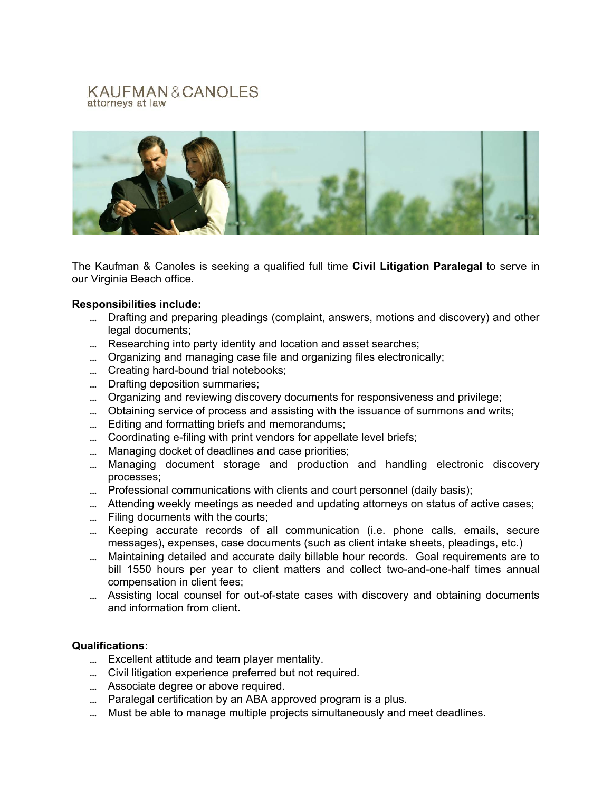## KAUFMAN&CANOLES attorneys at law



The Kaufman & Canoles is seeking a qualified full time **Civil Litigation Paralegal** to serve in our Virginia Beach office.

## **Responsibilities include:**

- Drafting and preparing pleadings (complaint, answers, motions and discovery) and other legal documents;
- ... Researching into party identity and location and asset searches;
- ... Organizing and managing case file and organizing files electronically;
- ... Creating hard-bound trial notebooks;
- ... Drafting deposition summaries;
- Organizing and reviewing discovery documents for responsiveness and privilege;
- ... Obtaining service of process and assisting with the issuance of summons and writs;
- ... Editing and formatting briefs and memorandums;
- ... Coordinating e-filing with print vendors for appellate level briefs;
- ... Managing docket of deadlines and case priorities;
- Managing document storage and production and handling electronic discovery processes;
- ... Professional communications with clients and court personnel (daily basis);
- ... Attending weekly meetings as needed and updating attorneys on status of active cases;
- ... Filing documents with the courts;
- ... Keeping accurate records of all communication (i.e. phone calls, emails, secure messages), expenses, case documents (such as client intake sheets, pleadings, etc.)
- ... Maintaining detailed and accurate daily billable hour records. Goal requirements are to bill 1550 hours per year to client matters and collect two-and-one-half times annual compensation in client fees;
- ... Assisting local counsel for out-of-state cases with discovery and obtaining documents and information from client.

## **Qualifications:**

- ... Excellent attitude and team player mentality.
- ... Civil litigation experience preferred but not required.
- ... Associate degree or above required.
- ... Paralegal certification by an ABA approved program is a plus.
- ... Must be able to manage multiple projects simultaneously and meet deadlines.